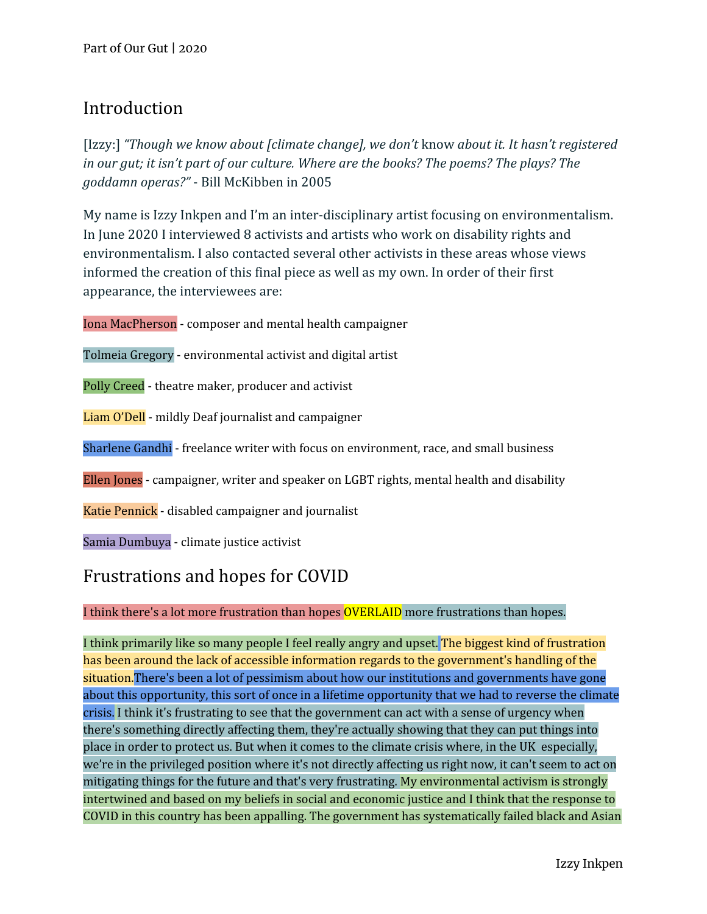## Introduction

[Izzy:] *"Though we know about [climate change], we don't* know *about it. It hasn't registered in our gut; it isn't part of our culture. Where are the books? The poems? The plays? The goddamn operas?"* - Bill McKibben in 2005

My name is Izzy Inkpen and I'm an inter-disciplinary artist focusing on environmentalism. In June 2020 I interviewed 8 activists and artists who work on disability rights and environmentalism. I also contacted several other activists in these areas whose views informed the creation of this final piece as well as my own. In order of their first appearance, the interviewees are:

Iona MacPherson - composer and mental health campaigner

Tolmeia Gregory - environmental activist and digital artist

Polly Creed - theatre maker, producer and activist

Liam O'Dell - mildly Deaf journalist and campaigner

Sharlene Gandhi - freelance writer with focus on environment, race, and small business

Ellen Jones - campaigner, writer and speaker on LGBT rights, mental health and disability

Katie Pennick - disabled campaigner and journalist

Samia Dumbuya - climate justice activist

## Frustrations and hopes for COVID

#### I think there's a lot more frustration than hopes OVERLAID more frustrations than hopes.

I think primarily like so many people I feel really angry and upset. The biggest kind of frustration has been around the lack of accessible information regards to the government's handling of the situation. There's been a lot of pessimism about how our institutions and governments have gone about this opportunity, this sort of once in a lifetime opportunity that we had to reverse the climate crisis. I think it's frustrating to see that the government can act with a sense of urgency when there's something directly affecting them, they're actually showing that they can put things into place in order to protect us. But when it comes to the climate crisis where, in the UK especially, we're in the privileged position where it's not directly affecting us right now, it can't seem to act on mitigating things for the future and that's very frustrating. My environmental activism is strongly intertwined and based on my beliefs in social and economic justice and I think that the response to COVID in this country has been appalling. The government has systematically failed black and Asian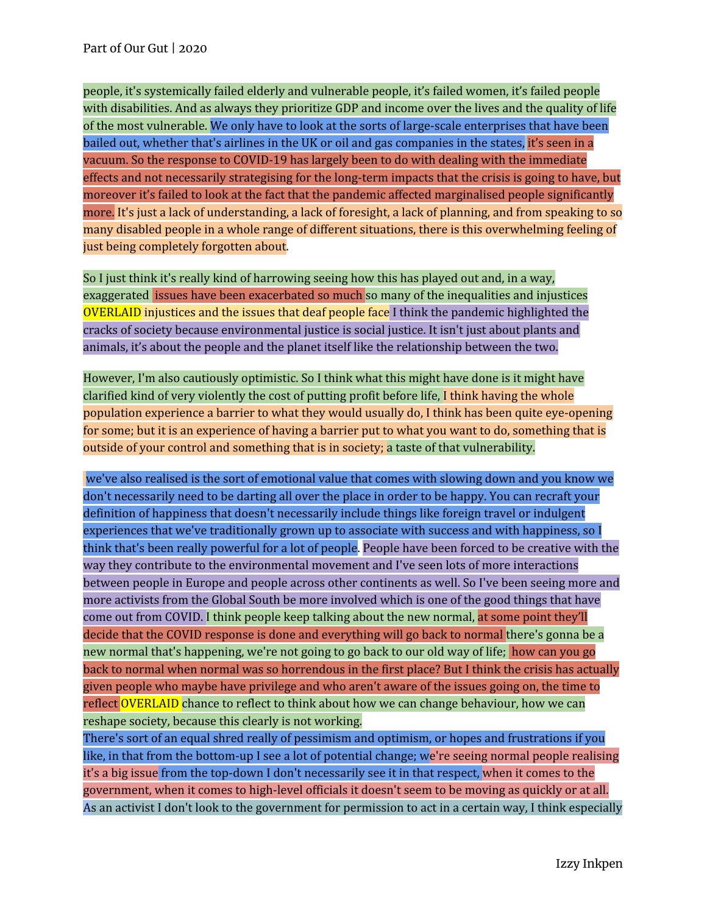people, it's systemically failed elderly and vulnerable people, it's failed women, it's failed people with disabilities. And as always they prioritize GDP and income over the lives and the quality of life of the most vulnerable. We only have to look at the sorts of large-scale enterprises that have been bailed out, whether that's airlines in the UK or oil and gas companies in the states, it's seen in a vacuum. So the response to COVID-19 has largely been to do with dealing with the immediate effects and not necessarily strategising for the long-term impacts that the crisis is going to have, but moreover it's failed to look at the fact that the pandemic affected marginalised people significantly more. It's just a lack of understanding, a lack of foresight, a lack of planning, and from speaking to so many disabled people in a whole range of different situations, there is this overwhelming feeling of just being completely forgotten about.

So I just think it's really kind of harrowing seeing how this has played out and, in a way, exaggerated issues have been exacerbated so much so many of the inequalities and injustices OVERLAID injustices and the issues that deaf people face I think the pandemic highlighted the cracks of society because environmental justice is social justice. It isn't just about plants and animals, it's about the people and the planet itself like the relationship between the two.

However, I'm also cautiously optimistic. So I think what this might have done is it might have clarified kind of very violently the cost of putting profit before life, I think having the whole population experience a barrier to what they would usually do, I think has been quite eye-opening for some; but it is an experience of having a barrier put to what you want to do, something that is outside of your control and something that is in society; a taste of that vulnerability.

we've also realised is the sort of emotional value that comes with slowing down and you know we don't necessarily need to be darting all over the place in order to be happy. You can recraft your definition of happiness that doesn't necessarily include things like foreign travel or indulgent experiences that we've traditionally grown up to associate with success and with happiness, so I think that's been really powerful for a lot of people. People have been forced to be creative with the way they contribute to the environmental movement and I've seen lots of more interactions between people in Europe and people across other continents as well. So I've been seeing more and more activists from the Global South be more involved which is one of the good things that have come out from COVID. I think people keep talking about the new normal, at some point they'll decide that the COVID response is done and everything will go back to normal there's gonna be a new normal that's happening, we're not going to go back to our old way of life; how can you go back to normal when normal was so horrendous in the first place? But I think the crisis has actually given people who maybe have privilege and who aren't aware of the issues going on, the time to reflect OVERLAID chance to reflect to think about how we can change behaviour, how we can reshape society, because this clearly is not working.

There's sort of an equal shred really of pessimism and optimism, or hopes and frustrations if you like, in that from the bottom-up I see a lot of potential change; we're seeing normal people realising it's a big issue from the top-down I don't necessarily see it in that respect, when it comes to the government, when it comes to high-level officials it doesn't seem to be moving as quickly or at all. As an activist I don't look to the government for permission to act in a certain way, I think especially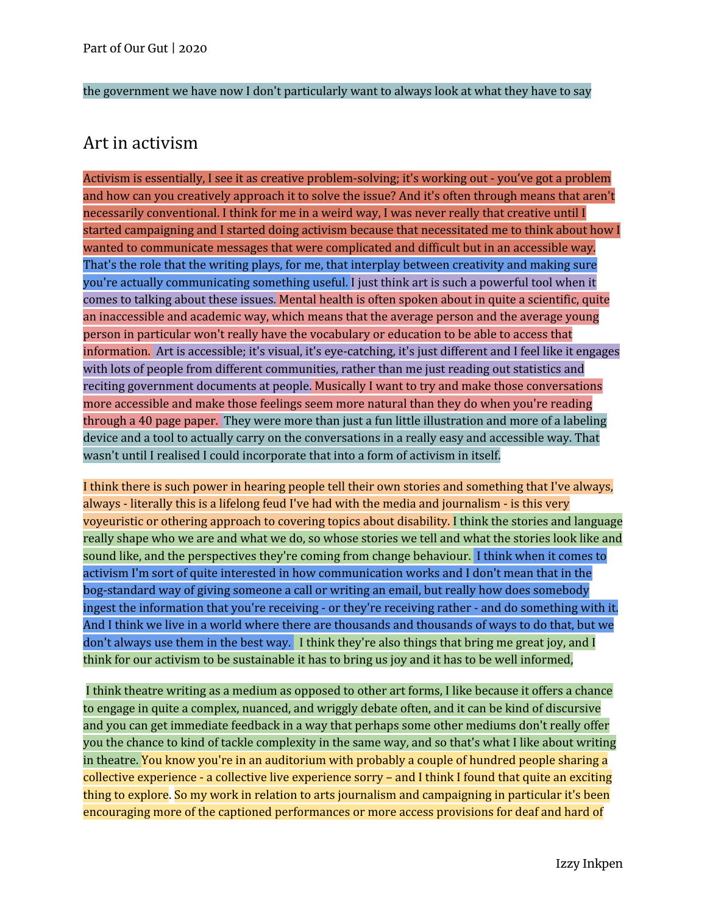the government we have now I don't particularly want to always look at what they have to say

#### Art in activism

Activism is essentially, I see it as creative problem-solving; it's working out - you've got a problem and how can you creatively approach it to solve the issue? And it's often through means that aren't necessarily conventional. I think for me in a weird way, I was never really that creative until I started campaigning and I started doing activism because that necessitated me to think about how I wanted to communicate messages that were complicated and difficult but in an accessible way. That's the role that the writing plays, for me, that interplay between creativity and making sure you're actually communicating something useful. I just think art is such a powerful tool when it comes to talking about these issues. Mental health is often spoken about in quite a scientific, quite an inaccessible and academic way, which means that the average person and the average young person in particular won't really have the vocabulary or education to be able to access that information. Art is accessible; it's visual, it's eye-catching, it's just different and I feel like it engages with lots of people from different communities, rather than me just reading out statistics and reciting government documents at people. Musically I want to try and make those conversations more accessible and make those feelings seem more natural than they do when you're reading through a 40 page paper. They were more than just a fun little illustration and more of a labeling device and a tool to actually carry on the conversations in a really easy and accessible way. That wasn't until I realised I could incorporate that into a form of activism in itself.

I think there is such power in hearing people tell their own stories and something that I've always, always - literally this is a lifelong feud I've had with the media and journalism - is this very voyeuristic or othering approach to covering topics about disability. I think the stories and language really shape who we are and what we do, so whose stories we tell and what the stories look like and sound like, and the perspectives they're coming from change behaviour. I think when it comes to activism I'm sort of quite interested in how communication works and I don't mean that in the bog-standard way of giving someone a call or writing an email, but really how does somebody ingest the information that you're receiving - or they're receiving rather - and do something with it. And I think we live in a world where there are thousands and thousands of ways to do that, but we don't always use them in the best way. I think they're also things that bring me great joy, and I think for our activism to be sustainable it has to bring us joy and it has to be well informed,

I think theatre writing as a medium as opposed to other art forms, I like because it offers a chance to engage in quite a complex, nuanced, and wriggly debate often, and it can be kind of discursive and you can get immediate feedback in a way that perhaps some other mediums don't really offer you the chance to kind of tackle complexity in the same way, and so that's what I like about writing in theatre. You know you're in an auditorium with probably a couple of hundred people sharing a collective experience - a collective live experience sorry – and I think I found that quite an exciting thing to explore. So my work in relation to arts journalism and campaigning in particular it's been encouraging more of the captioned performances or more access provisions for deaf and hard of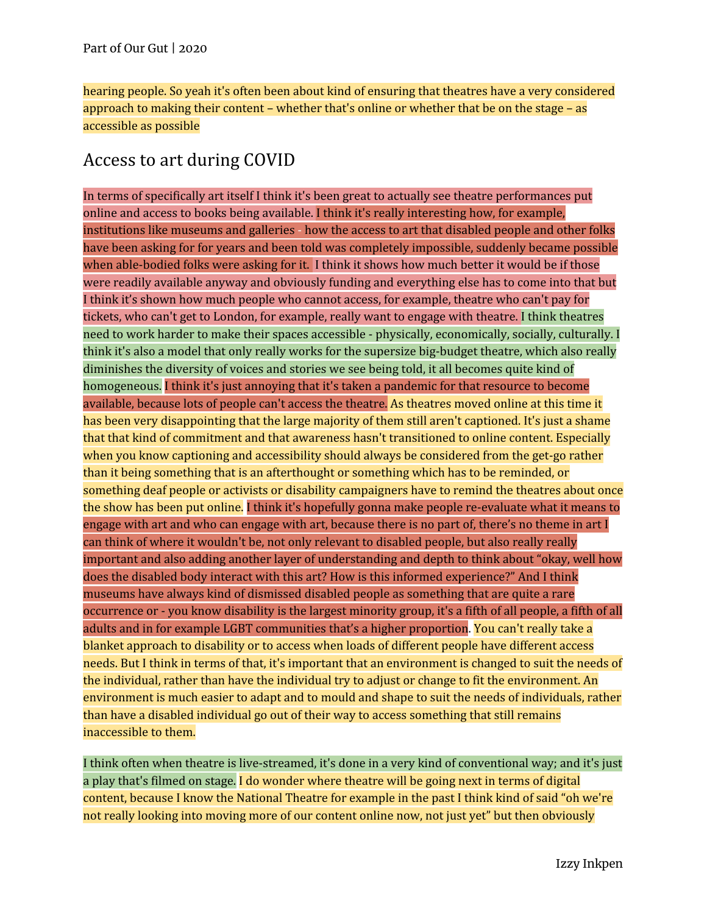hearing people. So yeah it's often been about kind of ensuring that theatres have a very considered approach to making their content – whether that's online or whether that be on the stage – as accessible as possible

# Access to art during COVID

In terms of specifically art itself I think it's been great to actually see theatre performances put online and access to books being available. I think it's really interesting how, for example, institutions like museums and galleries - how the access to art that disabled people and other folks have been asking for for years and been told was completely impossible, suddenly became possible when able-bodied folks were asking for it. I think it shows how much better it would be if those were readily available anyway and obviously funding and everything else has to come into that but I think it's shown how much people who cannot access, for example, theatre who can't pay for tickets, who can't get to London, for example, really want to engage with theatre. I think theatres need to work harder to make their spaces accessible - physically, economically, socially, culturally. I think it's also a model that only really works for the supersize big-budget theatre, which also really diminishes the diversity of voices and stories we see being told, it all becomes quite kind of homogeneous. I think it's just annoying that it's taken a pandemic for that resource to become available, because lots of people can't access the theatre. As theatres moved online at this time it has been very disappointing that the large majority of them still aren't captioned. It's just a shame that that kind of commitment and that awareness hasn't transitioned to online content. Especially when you know captioning and accessibility should always be considered from the get-go rather than it being something that is an afterthought or something which has to be reminded, or something deaf people or activists or disability campaigners have to remind the theatres about once the show has been put online. I think it's hopefully gonna make people re-evaluate what it means to engage with art and who can engage with art, because there is no part of, there's no theme in art I can think of where it wouldn't be, not only relevant to disabled people, but also really really important and also adding another layer of understanding and depth to think about "okay, well how does the disabled body interact with this art? How is this informed experience?" And I think museums have always kind of dismissed disabled people as something that are quite a rare occurrence or - you know disability is the largest minority group, it's a fifth of all people, a fifth of all adults and in for example LGBT communities that's a higher proportion. You can't really take a blanket approach to disability or to access when loads of different people have different access needs. But I think in terms of that, it's important that an environment is changed to suit the needs of the individual, rather than have the individual try to adjust or change to fit the environment. An environment is much easier to adapt and to mould and shape to suit the needs of individuals, rather than have a disabled individual go out of their way to access something that still remains inaccessible to them.

I think often when theatre is live-streamed, it's done in a very kind of conventional way; and it's just a play that's filmed on stage. I do wonder where theatre will be going next in terms of digital content, because I know the National Theatre for example in the past I think kind of said "oh we're not really looking into moving more of our content online now, not just yet" but then obviously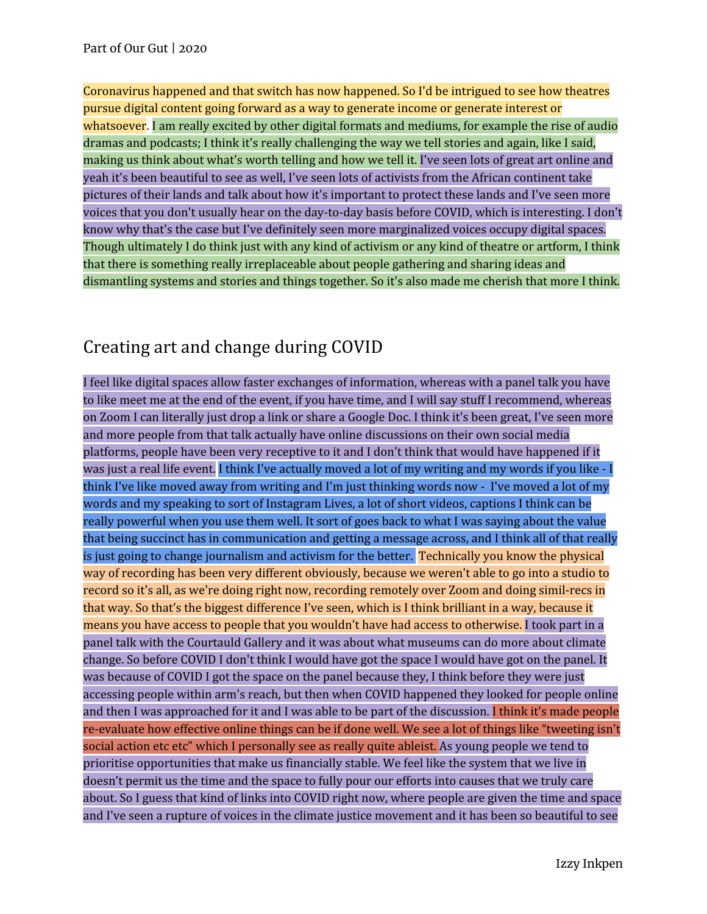Coronavirus happened and that switch has now happened. So I'd be intrigued to see how theatres pursue digital content going forward as a way to generate income or generate interest or whatsoever. I am really excited by other digital formats and mediums, for example the rise of audio dramas and podcasts; I think it's really challenging the way we tell stories and again, like I said, making us think about what's worth telling and how we tell it. I've seen lots of great art online and yeah it's been beautiful to see as well, I've seen lots of activists from the African continent take pictures of their lands and talk about how it's important to protect these lands and I've seen more voices that you don't usually hear on the day-to-day basis before COVID, which is interesting. I don't know why that's the case but I've definitely seen more marginalized voices occupy digital spaces. Though ultimately I do think just with any kind of activism or any kind of theatre or artform, I think that there is something really irreplaceable about people gathering and sharing ideas and dismantling systems and stories and things together. So it's also made me cherish that more I think.

# Creating art and change during COVID

I feel like digital spaces allow faster exchanges of information, whereas with a panel talk you have to like meet me at the end of the event, if you have time, and I will say stuff I recommend, whereas on Zoom I can literally just drop a link or share a Google Doc. I think it's been great, I've seen more and more people from that talk actually have online discussions on their own social media platforms, people have been very receptive to it and I don't think that would have happened if it was just a real life event. I think I've actually moved a lot of my writing and my words if you like - I think I've like moved away from writing and I'm just thinking words now - I've moved a lot of my words and my speaking to sort of Instagram Lives, a lot of short videos, captions I think can be really powerful when you use them well. It sort of goes back to what I was saying about the value that being succinct has in communication and getting a message across, and I think all of that really is just going to change journalism and activism for the better. Technically you know the physical way of recording has been very different obviously, because we weren't able to go into a studio to record so it's all, as we're doing right now, recording remotely over Zoom and doing simil-recs in that way. So that's the biggest difference I've seen, which is I think brilliant in a way, because it means you have access to people that you wouldn't have had access to otherwise. I took part in a panel talk with the Courtauld Gallery and it was about what museums can do more about climate change. So before COVID I don't think I would have got the space I would have got on the panel. It was because of COVID I got the space on the panel because they, I think before they were just accessing people within arm's reach, but then when COVID happened they looked for people online and then I was approached for it and I was able to be part of the discussion. I think it's made people re-evaluate how effective online things can be if done well. We see a lot of things like "tweeting isn't social action etc etc" which I personally see as really quite ableist. As young people we tend to prioritise opportunities that make us financially stable. We feel like the system that we live in doesn't permit us the time and the space to fully pour our efforts into causes that we truly care about. So I guess that kind of links into COVID right now, where people are given the time and space and I've seen a rupture of voices in the climate justice movement and it has been so beautiful to see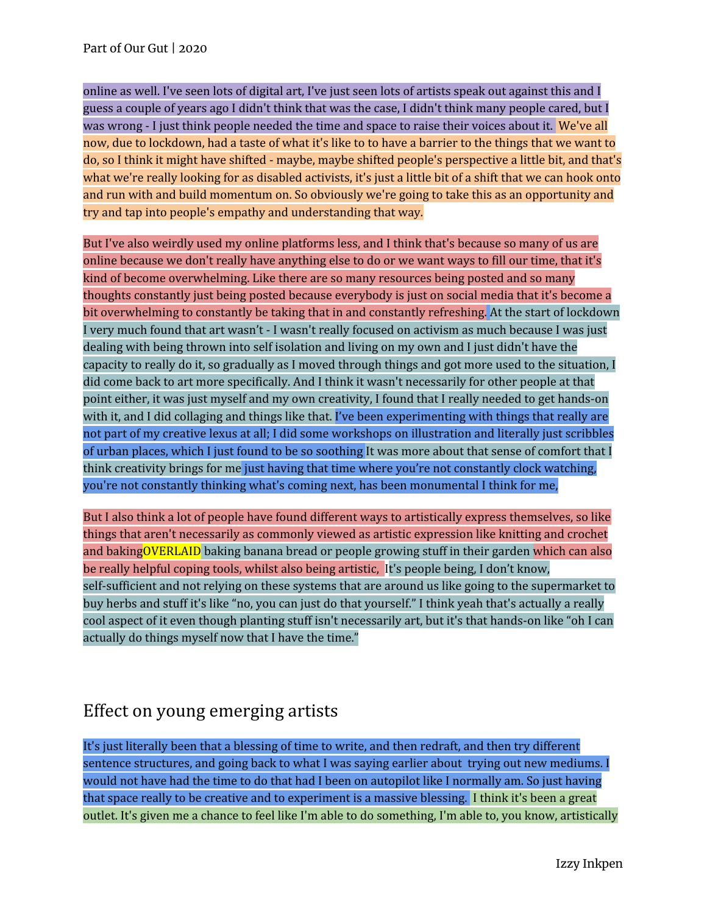online as well. I've seen lots of digital art, I've just seen lots of artists speak out against this and I guess a couple of years ago I didn't think that was the case, I didn't think many people cared, but I was wrong - I just think people needed the time and space to raise their voices about it. We've all now, due to lockdown, had a taste of what it's like to to have a barrier to the things that we want to do, so I think it might have shifted - maybe, maybe shifted people's perspective a little bit, and that's what we're really looking for as disabled activists, it's just a little bit of a shift that we can hook onto and run with and build momentum on. So obviously we're going to take this as an opportunity and try and tap into people's empathy and understanding that way.

But I've also weirdly used my online platforms less, and I think that's because so many of us are online because we don't really have anything else to do or we want ways to fill our time, that it's kind of become overwhelming. Like there are so many resources being posted and so many thoughts constantly just being posted because everybody is just on social media that it's become a bit overwhelming to constantly be taking that in and constantly refreshing. At the start of lockdown I very much found that art wasn't - I wasn't really focused on activism as much because I was just dealing with being thrown into self isolation and living on my own and I just didn't have the capacity to really do it, so gradually as I moved through things and got more used to the situation, I did come back to art more specifically. And I think it wasn't necessarily for other people at that point either, it was just myself and my own creativity, I found that I really needed to get hands-on with it, and I did collaging and things like that. I've been experimenting with things that really are not part of my creative lexus at all; I did some workshops on illustration and literally just scribbles of urban places, which I just found to be so soothing It was more about that sense of comfort that I think creativity brings for me just having that time where you're not constantly clock watching, you're not constantly thinking what's coming next, has been monumental I think for me,

But I also think a lot of people have found different ways to artistically express themselves, so like things that aren't necessarily as commonly viewed as artistic expression like knitting and crochet and bakingOVERLAID baking banana bread or people growing stuff in their garden which can also be really helpful coping tools, whilst also being artistic, It's people being, I don't know, self-sufficient and not relying on these systems that are around us like going to the supermarket to buy herbs and stuff it's like "no, you can just do that yourself." I think yeah that's actually a really cool aspect of it even though planting stuff isn't necessarily art, but it's that hands-on like "oh I can actually do things myself now that I have the time."

### Effect on young emerging artists

It's just literally been that a blessing of time to write, and then redraft, and then try different sentence structures, and going back to what I was saying earlier about trying out new mediums. I would not have had the time to do that had I been on autopilot like I normally am. So just having that space really to be creative and to experiment is a massive blessing. I think it's been a great outlet. It's given me a chance to feel like I'm able to do something, I'm able to, you know, artistically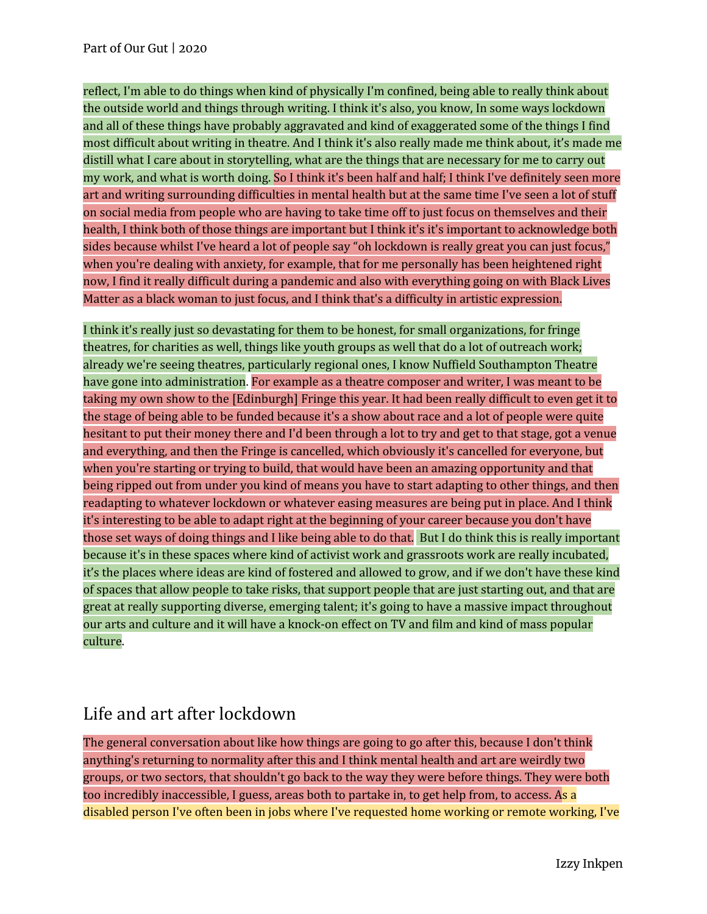reflect, I'm able to do things when kind of physically I'm confined, being able to really think about the outside world and things through writing. I think it's also, you know, In some ways lockdown and all of these things have probably aggravated and kind of exaggerated some of the things I find most difficult about writing in theatre. And I think it's also really made me think about, it's made me distill what I care about in storytelling, what are the things that are necessary for me to carry out my work, and what is worth doing. So I think it's been half and half; I think I've definitely seen more art and writing surrounding difficulties in mental health but at the same time I've seen a lot of stuff on social media from people who are having to take time off to just focus on themselves and their health, I think both of those things are important but I think it's it's important to acknowledge both sides because whilst I've heard a lot of people say "oh lockdown is really great you can just focus," when you're dealing with anxiety, for example, that for me personally has been heightened right now, I find it really difficult during a pandemic and also with everything going on with Black Lives Matter as a black woman to just focus, and I think that's a difficulty in artistic expression.

I think it's really just so devastating for them to be honest, for small organizations, for fringe theatres, for charities as well, things like youth groups as well that do a lot of outreach work; already we're seeing theatres, particularly regional ones, I know Nuffield Southampton Theatre have gone into administration. For example as a theatre composer and writer, I was meant to be taking my own show to the [Edinburgh] Fringe this year. It had been really difficult to even get it to the stage of being able to be funded because it's a show about race and a lot of people were quite hesitant to put their money there and I'd been through a lot to try and get to that stage, got a venue and everything, and then the Fringe is cancelled, which obviously it's cancelled for everyone, but when you're starting or trying to build, that would have been an amazing opportunity and that being ripped out from under you kind of means you have to start adapting to other things, and then readapting to whatever lockdown or whatever easing measures are being put in place. And I think it's interesting to be able to adapt right at the beginning of your career because you don't have those set ways of doing things and I like being able to do that. But I do think this is really important because it's in these spaces where kind of activist work and grassroots work are really incubated, it's the places where ideas are kind of fostered and allowed to grow, and if we don't have these kind of spaces that allow people to take risks, that support people that are just starting out, and that are great at really supporting diverse, emerging talent; it's going to have a massive impact throughout our arts and culture and it will have a knock-on effect on TV and film and kind of mass popular culture.

## Life and art after lockdown

The general conversation about like how things are going to go after this, because I don't think anything's returning to normality after this and I think mental health and art are weirdly two groups, or two sectors, that shouldn't go back to the way they were before things. They were both too incredibly inaccessible, I guess, areas both to partake in, to get help from, to access. As a disabled person I've often been in jobs where I've requested home working or remote working, I've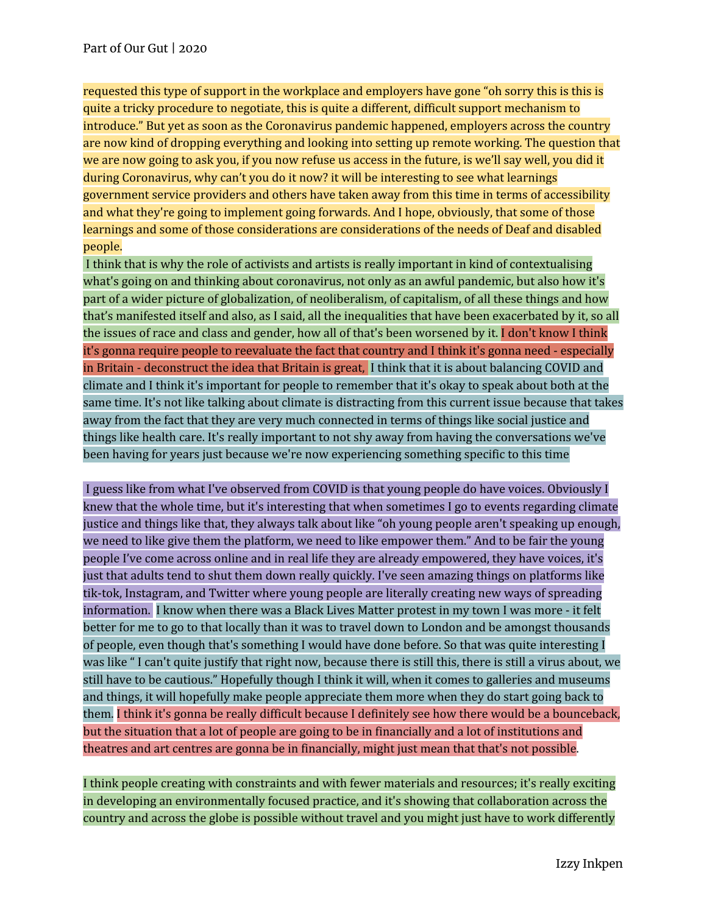requested this type of support in the workplace and employers have gone "oh sorry this is this is quite a tricky procedure to negotiate, this is quite a different, difficult support mechanism to introduce." But yet as soon as the Coronavirus pandemic happened, employers across the country are now kind of dropping everything and looking into setting up remote working. The question that we are now going to ask you, if you now refuse us access in the future, is we'll say well, you did it during Coronavirus, why can't you do it now? it will be interesting to see what learnings government service providers and others have taken away from this time in terms of accessibility and what they're going to implement going forwards. And I hope, obviously, that some of those learnings and some of those considerations are considerations of the needs of Deaf and disabled people.

I think that is why the role of activists and artists is really important in kind of contextualising what's going on and thinking about coronavirus, not only as an awful pandemic, but also how it's part of a wider picture of globalization, of neoliberalism, of capitalism, of all these things and how that's manifested itself and also, as I said, all the inequalities that have been exacerbated by it, so all the issues of race and class and gender, how all of that's been worsened by it. I don't know I think it's gonna require people to reevaluate the fact that country and I think it's gonna need - especially in Britain - deconstruct the idea that Britain is great, I think that it is about balancing COVID and climate and I think it's important for people to remember that it's okay to speak about both at the same time. It's not like talking about climate is distracting from this current issue because that takes away from the fact that they are very much connected in terms of things like social justice and things like health care. It's really important to not shy away from having the conversations we've been having for years just because we're now experiencing something specific to this time

I guess like from what I've observed from COVID is that young people do have voices. Obviously I knew that the whole time, but it's interesting that when sometimes I go to events regarding climate justice and things like that, they always talk about like "oh young people aren't speaking up enough, we need to like give them the platform, we need to like empower them." And to be fair the young people I've come across online and in real life they are already empowered, they have voices, it's just that adults tend to shut them down really quickly. I've seen amazing things on platforms like tik-tok, Instagram, and Twitter where young people are literally creating new ways of spreading information. I know when there was a Black Lives Matter protest in my town I was more - it felt better for me to go to that locally than it was to travel down to London and be amongst thousands of people, even though that's something I would have done before. So that was quite interesting I was like " I can't quite justify that right now, because there is still this, there is still a virus about, we still have to be cautious." Hopefully though I think it will, when it comes to galleries and museums and things, it will hopefully make people appreciate them more when they do start going back to them. I think it's gonna be really difficult because I definitely see how there would be a bounceback, but the situation that a lot of people are going to be in financially and a lot of institutions and theatres and art centres are gonna be in financially, might just mean that that's not possible.

I think people creating with constraints and with fewer materials and resources; it's really exciting in developing an environmentally focused practice, and it's showing that collaboration across the country and across the globe is possible without travel and you might just have to work differently